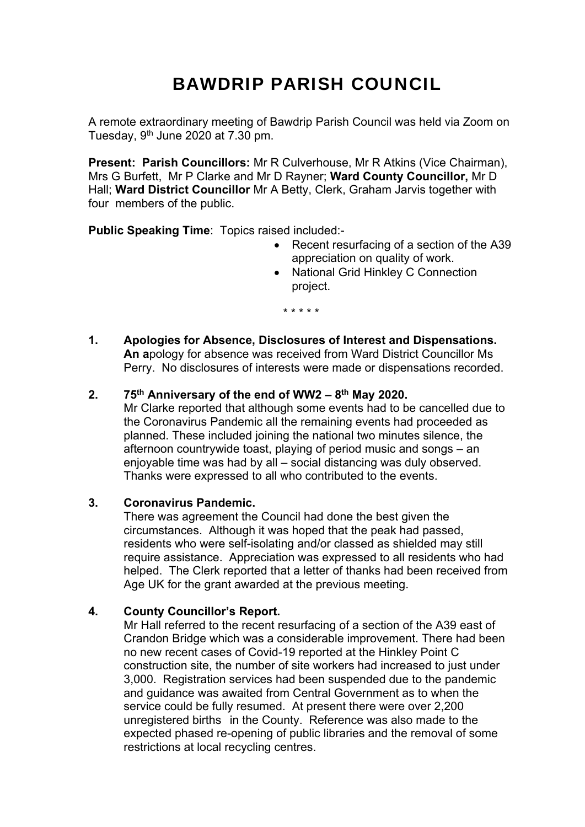# BAWDRIP PARISH COUNCIL

A remote extraordinary meeting of Bawdrip Parish Council was held via Zoom on Tuesday,  $9<sup>th</sup>$  June 2020 at 7.30 pm.

**Present: Parish Councillors:** Mr R Culverhouse, Mr R Atkins (Vice Chairman), Mrs G Burfett, Mr P Clarke and Mr D Rayner; **Ward County Councillor,** Mr D Hall; **Ward District Councillor** Mr A Betty, Clerk, Graham Jarvis together with four members of the public.

**Public Speaking Time**: Topics raised included:-

- Recent resurfacing of a section of the A39 appreciation on quality of work.
- National Grid Hinkley C Connection project.
	- \* \* \* \* \*
- **1. Apologies for Absence, Disclosures of Interest and Dispensations. An a**pology for absence was received from Ward District Councillor Ms Perry. No disclosures of interests were made or dispensations recorded.

## **2. 75th Anniversary of the end of WW2 – 8th May 2020.**

 Mr Clarke reported that although some events had to be cancelled due to the Coronavirus Pandemic all the remaining events had proceeded as planned. These included joining the national two minutes silence, the afternoon countrywide toast, playing of period music and songs – an enjoyable time was had by all – social distancing was duly observed. Thanks were expressed to all who contributed to the events.

#### **3. Coronavirus Pandemic.**

There was agreement the Council had done the best given the circumstances. Although it was hoped that the peak had passed, residents who were self-isolating and/or classed as shielded may still require assistance. Appreciation was expressed to all residents who had helped. The Clerk reported that a letter of thanks had been received from Age UK for the grant awarded at the previous meeting.

## **4. County Councillor's Report.**

 Mr Hall referred to the recent resurfacing of a section of the A39 east of Crandon Bridge which was a considerable improvement. There had been no new recent cases of Covid-19 reported at the Hinkley Point C construction site, the number of site workers had increased to just under 3,000. Registration services had been suspended due to the pandemic and guidance was awaited from Central Government as to when the service could be fully resumed. At present there were over 2,200 unregistered births in the County. Reference was also made to the expected phased re-opening of public libraries and the removal of some restrictions at local recycling centres.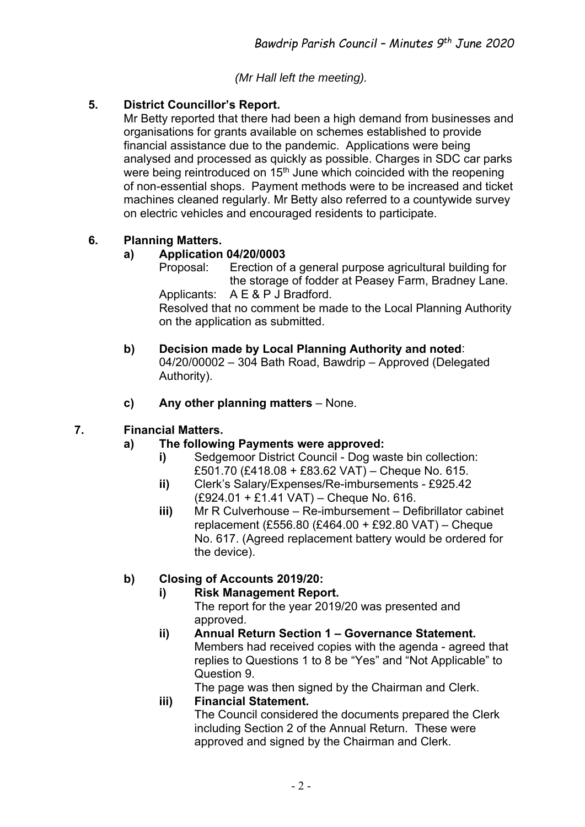*(Mr Hall left the meeting).* 

## **5. District Councillor's Report.**

Mr Betty reported that there had been a high demand from businesses and organisations for grants available on schemes established to provide financial assistance due to the pandemic. Applications were being analysed and processed as quickly as possible. Charges in SDC car parks were being reintroduced on 15<sup>th</sup> June which coincided with the reopening of non-essential shops. Payment methods were to be increased and ticket machines cleaned regularly. Mr Betty also referred to a countywide survey on electric vehicles and encouraged residents to participate.

## **6. Planning Matters.**

## **a) Application 04/20/0003**

 Proposal: Erection of a general purpose agricultural building for the storage of fodder at Peasey Farm, Bradney Lane. Applicants: A E & P J Bradford.

 Resolved that no comment be made to the Local Planning Authority on the application as submitted.

- **b) Decision made by Local Planning Authority and noted**: 04/20/00002 – 304 Bath Road, Bawdrip – Approved (Delegated Authority).
- **c) Any other planning matters** None.

## **7. Financial Matters.**

## **a) The following Payments were approved:**

- **i)** Sedgemoor District Council Dog waste bin collection: £501.70 (£418.08 + £83.62 VAT) – Cheque No. 615.
	- **ii)** Clerk's Salary/Expenses/Re-imbursements £925.42 (£924.01 + £1.41 VAT) – Cheque No. 616.
- **iii)** Mr R Culverhouse Re-imbursement Defibrillator cabinet replacement (£556.80 (£464.00 + £92.80 VAT) – Cheque No. 617. (Agreed replacement battery would be ordered for the device).

## **b) Closing of Accounts 2019/20:**

## **i) Risk Management Report.**

The report for the year 2019/20 was presented and approved.

**ii) Annual Return Section 1 – Governance Statement.**  Members had received copies with the agenda - agreed that replies to Questions 1 to 8 be "Yes" and "Not Applicable" to Question 9.

The page was then signed by the Chairman and Clerk.

## **iii) Financial Statement.**

The Council considered the documents prepared the Clerk including Section 2 of the Annual Return. These were approved and signed by the Chairman and Clerk.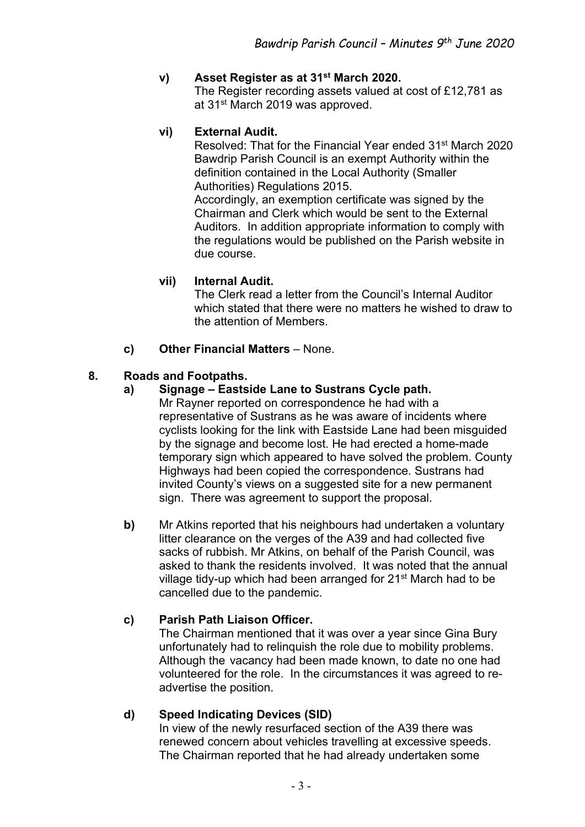## **v) Asset Register as at 31st March 2020.**

The Register recording assets valued at cost of £12,781 as at 31<sup>st</sup> March 2019 was approved.

## **vi) External Audit.**

Resolved: That for the Financial Year ended 31<sup>st</sup> March 2020 Bawdrip Parish Council is an exempt Authority within the definition contained in the Local Authority (Smaller Authorities) Regulations 2015.

Accordingly, an exemption certificate was signed by the Chairman and Clerk which would be sent to the External Auditors. In addition appropriate information to comply with the regulations would be published on the Parish website in due course.

## **vii) Internal Audit.**

The Clerk read a letter from the Council's Internal Auditor which stated that there were no matters he wished to draw to the attention of Members.

## **c) Other Financial Matters** – None.

## **8. Roads and Footpaths.**

## **a) Signage – Eastside Lane to Sustrans Cycle path.**

Mr Rayner reported on correspondence he had with a representative of Sustrans as he was aware of incidents where cyclists looking for the link with Eastside Lane had been misguided by the signage and become lost. He had erected a home-made temporary sign which appeared to have solved the problem. County Highways had been copied the correspondence. Sustrans had invited County's views on a suggested site for a new permanent sign. There was agreement to support the proposal.

**b)** Mr Atkins reported that his neighbours had undertaken a voluntary litter clearance on the verges of the A39 and had collected five sacks of rubbish. Mr Atkins, on behalf of the Parish Council, was asked to thank the residents involved. It was noted that the annual village tidy-up which had been arranged for 21<sup>st</sup> March had to be cancelled due to the pandemic.

## **c) Parish Path Liaison Officer.**

The Chairman mentioned that it was over a year since Gina Bury unfortunately had to relinquish the role due to mobility problems. Although the vacancy had been made known, to date no one had volunteered for the role. In the circumstances it was agreed to re advertise the position.

## **d) Speed Indicating Devices (SID)**

In view of the newly resurfaced section of the A39 there was renewed concern about vehicles travelling at excessive speeds. The Chairman reported that he had already undertaken some